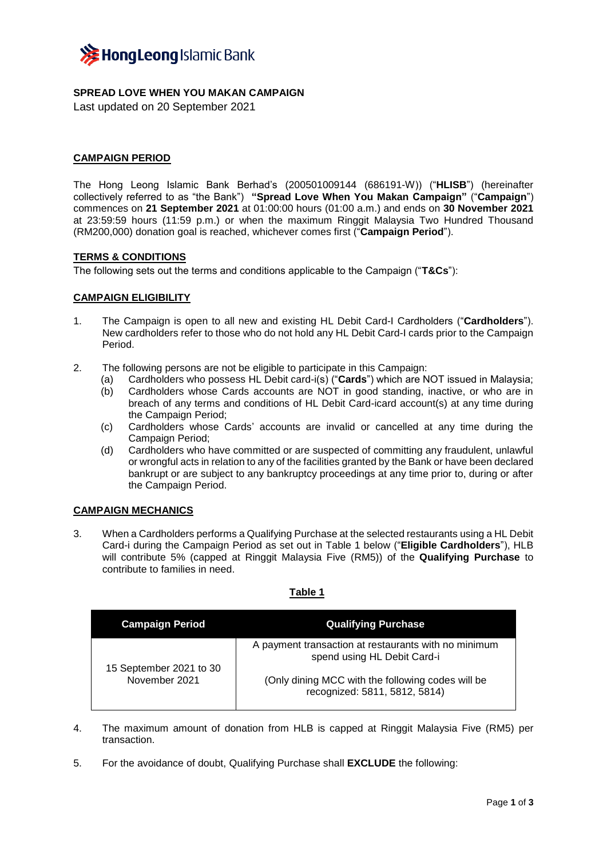

# **SPREAD LOVE WHEN YOU MAKAN CAMPAIGN**

Last updated on 20 September 2021

## **CAMPAIGN PERIOD**

The Hong Leong Islamic Bank Berhad's (200501009144 (686191-W)) ("**HLISB**") (hereinafter collectively referred to as "the Bank") **"Spread Love When You Makan Campaign"** ("**Campaign**") commences on **21 September 2021** at 01:00:00 hours (01:00 a.m.) and ends on **30 November 2021**  at 23:59:59 hours (11:59 p.m.) or when the maximum Ringgit Malaysia Two Hundred Thousand (RM200,000) donation goal is reached, whichever comes first ("**Campaign Period**").

### **TERMS & CONDITIONS**

The following sets out the terms and conditions applicable to the Campaign ("**T&Cs**"):

### **CAMPAIGN ELIGIBILITY**

- 1. The Campaign is open to all new and existing HL Debit Card-I Cardholders ("**Cardholders**"). New cardholders refer to those who do not hold any HL Debit Card-I cards prior to the Campaign Period.
- 2. The following persons are not be eligible to participate in this Campaign:
	- (a) Cardholders who possess HL Debit card-i(s) ("**Cards**") which are NOT issued in Malaysia;
	- (b) Cardholders whose Cards accounts are NOT in good standing, inactive, or who are in breach of any terms and conditions of HL Debit Card-icard account(s) at any time during the Campaign Period;
	- (c) Cardholders whose Cards' accounts are invalid or cancelled at any time during the Campaign Period;
	- (d) Cardholders who have committed or are suspected of committing any fraudulent, unlawful or wrongful acts in relation to any of the facilities granted by the Bank or have been declared bankrupt or are subject to any bankruptcy proceedings at any time prior to, during or after the Campaign Period.

# **CAMPAIGN MECHANICS**

3. When a Cardholders performs a Qualifying Purchase at the selected restaurants using a HL Debit Card-i during the Campaign Period as set out in Table 1 below ("**Eligible Cardholders**"), HLB will contribute 5% (capped at Ringgit Malaysia Five (RM5)) of the **Qualifying Purchase** to contribute to families in need.

## **Table 1**

| <b>Campaign Period</b>                   | <b>Qualifying Purchase</b>                                                          |
|------------------------------------------|-------------------------------------------------------------------------------------|
| 15 September 2021 to 30<br>November 2021 | A payment transaction at restaurants with no minimum<br>spend using HL Debit Card-i |
|                                          | (Only dining MCC with the following codes will be<br>recognized: 5811, 5812, 5814)  |

- 4. The maximum amount of donation from HLB is capped at Ringgit Malaysia Five (RM5) per transaction.
- 5. For the avoidance of doubt, Qualifying Purchase shall **EXCLUDE** the following: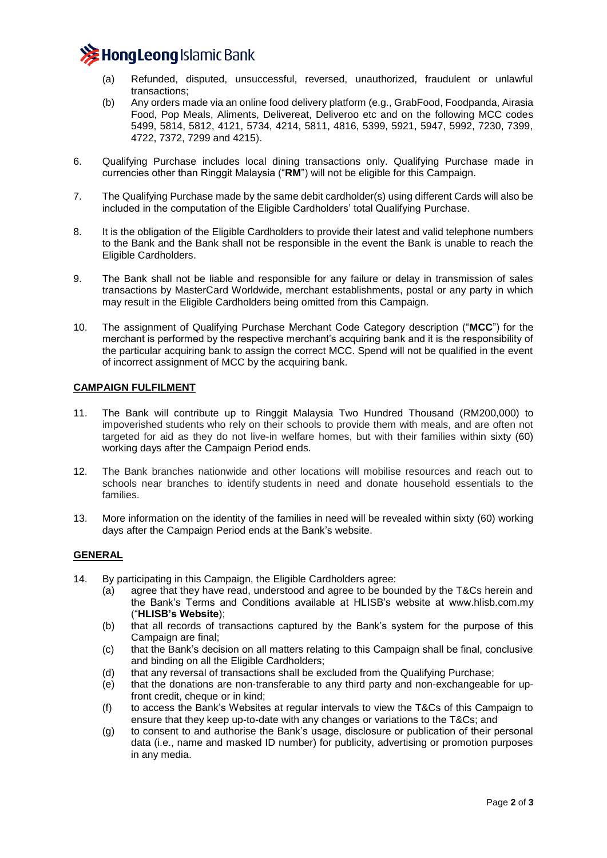

- (a) Refunded, disputed, unsuccessful, reversed, unauthorized, fraudulent or unlawful transactions;
- (b) Any orders made via an online food delivery platform (e.g., GrabFood, Foodpanda, Airasia Food, Pop Meals, Aliments, Delivereat, Deliveroo etc and on the following MCC codes 5499, 5814, 5812, 4121, 5734, 4214, 5811, 4816, 5399, 5921, 5947, 5992, 7230, 7399, 4722, 7372, 7299 and 4215).
- 6. Qualifying Purchase includes local dining transactions only. Qualifying Purchase made in currencies other than Ringgit Malaysia ("**RM**") will not be eligible for this Campaign.
- 7. The Qualifying Purchase made by the same debit cardholder(s) using different Cards will also be included in the computation of the Eligible Cardholders' total Qualifying Purchase.
- 8. It is the obligation of the Eligible Cardholders to provide their latest and valid telephone numbers to the Bank and the Bank shall not be responsible in the event the Bank is unable to reach the Eligible Cardholders.
- 9. The Bank shall not be liable and responsible for any failure or delay in transmission of sales transactions by MasterCard Worldwide, merchant establishments, postal or any party in which may result in the Eligible Cardholders being omitted from this Campaign.
- 10. The assignment of Qualifying Purchase Merchant Code Category description ("**MCC**") for the merchant is performed by the respective merchant's acquiring bank and it is the responsibility of the particular acquiring bank to assign the correct MCC. Spend will not be qualified in the event of incorrect assignment of MCC by the acquiring bank.

# **CAMPAIGN FULFILMENT**

- 11. The Bank will contribute up to Ringgit Malaysia Two Hundred Thousand (RM200,000) to impoverished students who rely on their schools to provide them with meals, and are often not targeted for aid as they do not live-in welfare homes, but with their families within sixty (60) working days after the Campaign Period ends.
- 12. The Bank branches nationwide and other locations will mobilise resources and reach out to schools near branches to identify students in need and donate household essentials to the families.
- 13. More information on the identity of the families in need will be revealed within sixty (60) working days after the Campaign Period ends at the Bank's website.

## **GENERAL**

- 14. By participating in this Campaign, the Eligible Cardholders agree:
	- (a) agree that they have read, understood and agree to be bounded by the T&Cs herein and the Bank's Terms and Conditions available at HLISB's website at www.hlisb.com.my ("**HLISB's Website**);
	- (b) that all records of transactions captured by the Bank's system for the purpose of this Campaign are final;
	- (c) that the Bank's decision on all matters relating to this Campaign shall be final, conclusive and binding on all the Eligible Cardholders;
	- (d) that any reversal of transactions shall be excluded from the Qualifying Purchase;
	- (e) that the donations are non-transferable to any third party and non-exchangeable for upfront credit, cheque or in kind;
	- (f) to access the Bank's Websites at regular intervals to view the T&Cs of this Campaign to ensure that they keep up-to-date with any changes or variations to the T&Cs; and
	- (g) to consent to and authorise the Bank's usage, disclosure or publication of their personal data (i.e., name and masked ID number) for publicity, advertising or promotion purposes in any media.